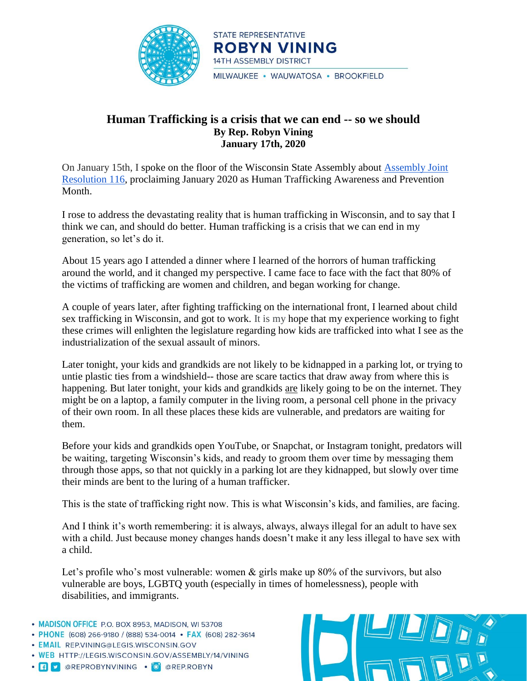



## **Human Trafficking is a crisis that we can end -- so we should By Rep. Robyn Vining January 17th, 2020**

On January 15th, I spoke on the floor of the Wisconsin State Assembly about [Assembly Joint](https://docs.legis.wisconsin.gov/2019/proposals/reg/asm/joint_resolution/ajr116)  [Resolution 116,](https://docs.legis.wisconsin.gov/2019/proposals/reg/asm/joint_resolution/ajr116) proclaiming January 2020 as Human Trafficking Awareness and Prevention Month.

I rose to address the devastating reality that is human trafficking in Wisconsin, and to say that I think we can, and should do better. Human trafficking is a crisis that we can end in my generation, so let's do it.

About 15 years ago I attended a dinner where I learned of the horrors of human trafficking around the world, and it changed my perspective. I came face to face with the fact that 80% of the victims of trafficking are women and children, and began working for change.

A couple of years later, after fighting trafficking on the international front, I learned about child sex trafficking in Wisconsin, and got to work. It is my hope that my experience working to fight these crimes will enlighten the legislature regarding how kids are trafficked into what I see as the industrialization of the sexual assault of minors.

Later tonight, your kids and grandkids are not likely to be kidnapped in a parking lot, or trying to untie plastic ties from a windshield-- those are scare tactics that draw away from where this is happening. But later tonight, your kids and grandkids are likely going to be on the internet. They might be on a laptop, a family computer in the living room, a personal cell phone in the privacy of their own room. In all these places these kids are vulnerable, and predators are waiting for them.

Before your kids and grandkids open YouTube, or Snapchat, or Instagram tonight, predators will be waiting, targeting Wisconsin's kids, and ready to groom them over time by messaging them through those apps, so that not quickly in a parking lot are they kidnapped, but slowly over time their minds are bent to the luring of a human trafficker.

This is the state of trafficking right now. This is what Wisconsin's kids, and families, are facing.

And I think it's worth remembering: it is always, always, always illegal for an adult to have sex with a child. Just because money changes hands doesn't make it any less illegal to have sex with a child.

Let's profile who's most vulnerable: women & girls make up 80% of the survivors, but also vulnerable are boys, LGBTQ youth (especially in times of homelessness), people with disabilities, and immigrants.

- MADISON OFFICE P.O. BOX 8953, MADISON, WI 53708
- PHONE (608) 266-9180 / (888) 534-0014 FAX (608) 282-3614
- · EMAIL REP.VINING@LEGIS.WISCONSIN.GOV
- . WEB HTTP://LEGIS.WISCONSIN.GOV/ASSEMBLY/14/VINING
- · **f v** @REPROBYNVINING · O @REP.ROBYN